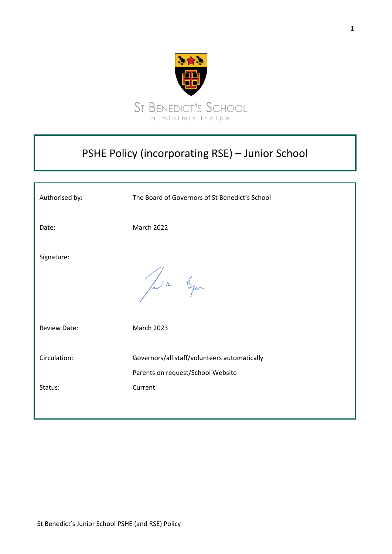

# PSHE Policy (incorporating RSE) – Junior School

| Authorised by:      | The Board of Governors of St Benedict's School                                    |
|---------------------|-----------------------------------------------------------------------------------|
| Date:               | <b>March 2022</b>                                                                 |
| Signature:          | Jula Syn                                                                          |
| <b>Review Date:</b> | <b>March 2023</b>                                                                 |
| Circulation:        | Governors/all staff/volunteers automatically<br>Parents on request/School Website |
| Status:             | Current                                                                           |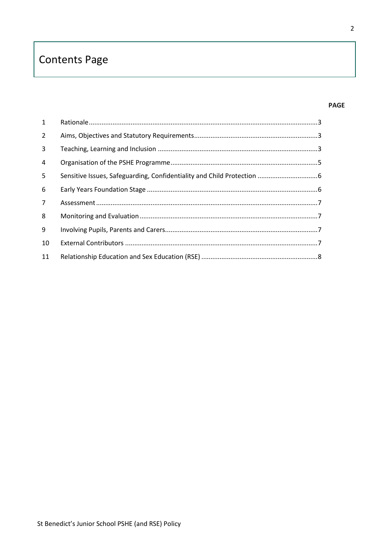# **Contents Page**

## **PAGE**

| $\mathbf{1}$   |  |
|----------------|--|
| $\overline{2}$ |  |
| 3              |  |
| $\overline{4}$ |  |
| 5              |  |
| 6              |  |
| $7^{\circ}$    |  |
| 8              |  |
| 9              |  |
| 10             |  |
| 11             |  |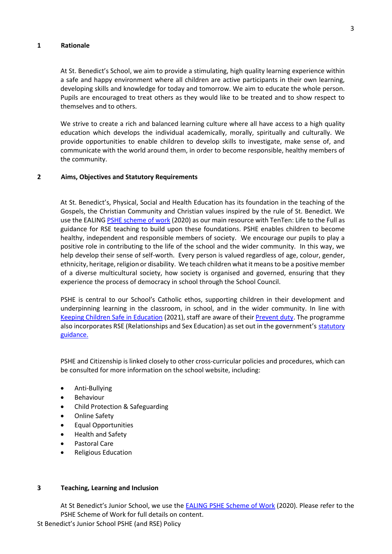## <span id="page-2-0"></span>**1 Rationale**

At St. Benedict's School, we aim to provide a stimulating, high quality learning experience within a safe and happy environment where all children are active participants in their own learning, developing skills and knowledge for today and tomorrow. We aim to educate the whole person. Pupils are encouraged to treat others as they would like to be treated and to show respect to themselves and to others.

We strive to create a rich and balanced learning culture where all have access to a high quality education which develops the individual academically, morally, spiritually and culturally. We provide opportunities to enable children to develop skills to investigate, make sense of, and communicate with the world around them, in order to become responsible, healthy members of the community.

## <span id="page-2-1"></span>**2 Aims, Objectives and Statutory Requirements**

At St. Benedict's, Physical, Social and Health Education has its foundation in the teaching of the Gospels, the Christian Community and Christian values inspired by the rule of St. Benedict. We use the EALING [PSHE scheme of work](file://///adminfserv/staffpool$/PSHCE/New%202020%20PSHE%20SoW) (2020) as our main resource with TenTen: Life to the Full as guidance for RSE teaching to build upon these foundations. PSHE enables children to become healthy, independent and responsible members of society. We encourage our pupils to play a positive role in contributing to the life of the school and the wider community. In this way, we help develop their sense of self-worth. Every person is valued regardless of age, colour, gender, ethnicity, heritage, religion or disability. We teach children what it means to be a positive member of a diverse multicultural society, how society is organised and governed, ensuring that they experience the process of democracy in school through the School Council.

PSHE is central to our School's Catholic ethos, supporting children in their development and underpinning learning in the classroom, in school, and in the wider community. In line with Keeping Children Safe in [Education](https://assets.publishing.service.gov.uk/government/uploads/system/uploads/attachment_data/file/892394/Keeping_children_safe_in_education_2020.pdf) (2021), staff are aware of their [Prevent duty.](https://www.gov.uk/government/publications/protecting-children-from-radicalisation-the-prevent-duty) The programme also incorporates RSE (Relationships and Sex Education) as set out in the government's statutory [guidance.](https://assets.publishing.service.gov.uk/government/uploads/system/uploads/attachment_data/file/908013/Relationships_Education__Relationships_and_Sex_Education__RSE__and_Health_Education.pdf)

PSHE and Citizenship is linked closely to other cross-curricular policies and procedures, which can be consulted for more information on the school website, including:

- Anti-Bullying
- **Behaviour**
- Child Protection & Safeguarding
- Online Safety
- Equal Opportunities
- Health and Safety
- Pastoral Care
- Religious Education

## <span id="page-2-2"></span>**3 Teaching, Learning and Inclusion**

At St Benedict's Junior School, we use the **[EALING PSHE Scheme of Work](file://///adminfserv/staffpool$/PSHCE/New%202020%20PSHE%20SoW) (2020)**. Please refer to the PSHE Scheme of Work for full details on content.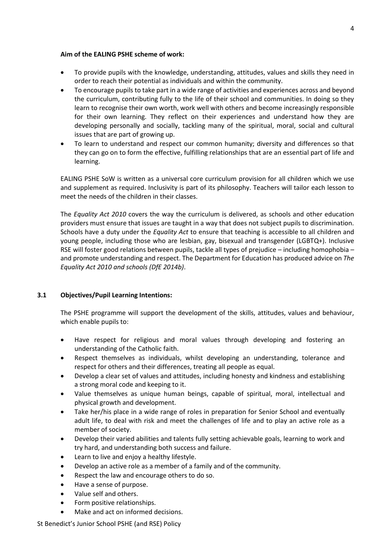# **Aim of the EALING PSHE scheme of work:**

- To provide pupils with the knowledge, understanding, attitudes, values and skills they need in order to reach their potential as individuals and within the community.
- To encourage pupils to take part in a wide range of activities and experiences across and beyond the curriculum, contributing fully to the life of their school and communities. In doing so they learn to recognise their own worth, work well with others and become increasingly responsible for their own learning. They reflect on their experiences and understand how they are developing personally and socially, tackling many of the spiritual, moral, social and cultural issues that are part of growing up.
- To learn to understand and respect our common humanity; diversity and differences so that they can go on to form the effective, fulfilling relationships that are an essential part of life and learning.

EALING PSHE SoW is written as a universal core curriculum provision for all children which we use and supplement as required. Inclusivity is part of its philosophy. Teachers will tailor each lesson to meet the needs of the children in their classes.

The *Equality Act 2010* covers the way the curriculum is delivered, as schools and other education providers must ensure that issues are taught in a way that does not subject pupils to discrimination. Schools have a duty under the *Equality Act* to ensure that teaching is accessible to all children and young people, including those who are lesbian, gay, bisexual and transgender (LGBTQ+). Inclusive RSE will foster good relations between pupils, tackle all types of prejudice – including homophobia – and promote understanding and respect. The Department for Education has produced advice on *The Equality Act 2010 and schools (DfE 2014b)*.

# **3.1 Objectives/Pupil Learning Intentions:**

The PSHE programme will support the development of the skills, attitudes, values and behaviour, which enable pupils to:

- Have respect for religious and moral values through developing and fostering an understanding of the Catholic faith.
- Respect themselves as individuals, whilst developing an understanding, tolerance and respect for others and their differences, treating all people as equal.
- Develop a clear set of values and attitudes, including honesty and kindness and establishing a strong moral code and keeping to it.
- Value themselves as unique human beings, capable of spiritual, moral, intellectual and physical growth and development.
- Take her/his place in a wide range of roles in preparation for Senior School and eventually adult life, to deal with risk and meet the challenges of life and to play an active role as a member of society.
- Develop their varied abilities and talents fully setting achievable goals, learning to work and try hard, and understanding both success and failure.
- Learn to live and enjoy a healthy lifestyle.
- Develop an active role as a member of a family and of the community.
- Respect the law and encourage others to do so.
- Have a sense of purpose.
- Value self and others.
- Form positive relationships.
- Make and act on informed decisions.

St Benedict's Junior School PSHE (and RSE) Policy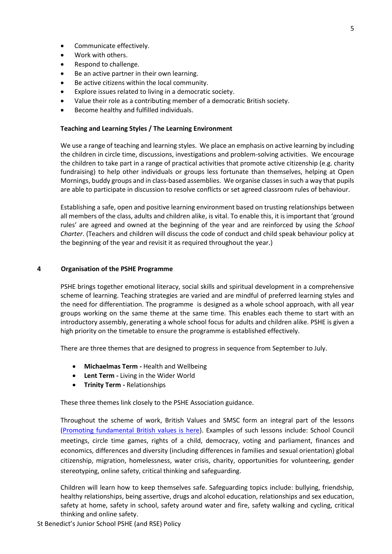- Communicate effectively.
- Work with others.
- Respond to challenge.
- Be an active partner in their own learning.
- Be active citizens within the local community.
- Explore issues related to living in a democratic society.
- Value their role as a contributing member of a democratic British society.
- Become healthy and fulfilled individuals.

# **Teaching and Learning Styles / The Learning Environment**

We use a range of teaching and learning styles. We place an emphasis on active learning by including the children in circle time, discussions, investigations and problem-solving activities. We encourage the children to take part in a range of practical activities that promote active citizenship (e.g. charity fundraising) to help other individuals or groups less fortunate than themselves, helping at Open Mornings, buddy groups and in class-based assemblies. We organise classes in such a way that pupils are able to participate in discussion to resolve conflicts or set agreed classroom rules of behaviour.

Establishing a safe, open and positive learning environment based on trusting relationships between all members of the class, adults and children alike, is vital. To enable this, it is important that 'ground rules' are agreed and owned at the beginning of the year and are reinforced by using the *School Charter*. (Teachers and children will discuss the code of conduct and child speak behaviour policy at the beginning of the year and revisit it as required throughout the year.)

# <span id="page-4-0"></span>**4 Organisation of the PSHE Programme**

PSHE brings together emotional literacy, social skills and spiritual development in a comprehensive scheme of learning. Teaching strategies are varied and are mindful of preferred learning styles and the need for differentiation. The programme is designed as a whole school approach, with all year groups working on the same theme at the same time. This enables each theme to start with an introductory assembly, generating a whole school focus for adults and children alike. PSHE is given a high priority on the timetable to ensure the programme is established effectively.

There are three themes that are designed to progress in sequence from September to July.

- **Michaelmas Term -** Health and Wellbeing
- **Lent Term -** Living in the Wider World
- **Trinity Term -** Relationships

These three themes link closely to the PSHE Association guidance.

Throughout the scheme of work, British Values and SMSC form an integral part of the lessons (Promoting fundamental British values is here). Examples of such lessons include: School Council meetings, circle time games, rights of a child, democracy, voting and parliament, finances and economics, differences and diversity (including differences in families and sexual orientation) global citizenship, migration, homelessness, water crisis, charity, opportunities for volunteering, gender stereotyping, online safety, critical thinking and safeguarding.

Children will learn how to keep themselves safe. Safeguarding topics include: bullying, friendship, healthy relationships, being assertive, drugs and alcohol education, relationships and sex education, safety at home, safety in school, safety around water and fire, safety walking and cycling, critical thinking and online safety.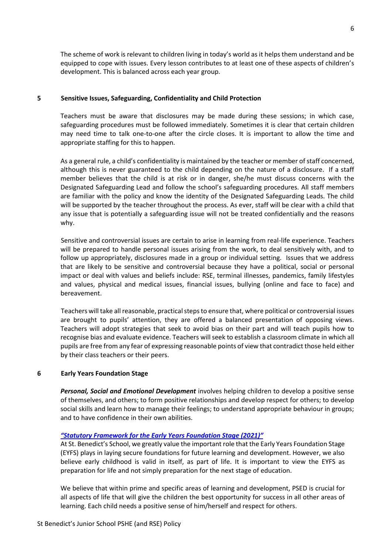The scheme of work is relevant to children living in today's world as it helps them understand and be equipped to cope with issues. Every lesson contributes to at least one of these aspects of children's development. This is balanced across each year group.

## <span id="page-5-0"></span>**5 Sensitive Issues, Safeguarding, Confidentiality and Child Protection**

Teachers must be aware that disclosures may be made during these sessions; in which case, safeguarding procedures must be followed immediately. Sometimes it is clear that certain children may need time to talk one-to-one after the circle closes. It is important to allow the time and appropriate staffing for this to happen.

As a general rule, a child's confidentiality is maintained by the teacher or member of staff concerned, although this is never guaranteed to the child depending on the nature of a disclosure. If a staff member believes that the child is at risk or in danger, she/he must discuss concerns with the Designated Safeguarding Lead and follow the school's safeguarding procedures. All staff members are familiar with the policy and know the identity of the Designated Safeguarding Leads. The child will be supported by the teacher throughout the process. As ever, staff will be clear with a child that any issue that is potentially a safeguarding issue will not be treated confidentially and the reasons why.

Sensitive and controversial issues are certain to arise in learning from real-life experience. Teachers will be prepared to handle personal issues arising from the work, to deal sensitively with, and to follow up appropriately, disclosures made in a group or individual setting. Issues that we address that are likely to be sensitive and controversial because they have a political, social or personal impact or deal with values and beliefs include: RSE, terminal illnesses, pandemics, family lifestyles and values, physical and medical issues, financial issues, bullying (online and face to face) and bereavement.

Teachers will take all reasonable, practical steps to ensure that, where political or controversial issues are brought to pupils' attention, they are offered a balanced presentation of opposing views. Teachers will adopt strategies that seek to avoid bias on their part and will teach pupils how to recognise bias and evaluate evidence. Teachers will seek to establish a classroom climate in which all pupils are free from any fear of expressing reasonable points of view that contradict those held either by their class teachers or their peers.

# <span id="page-5-1"></span>**6 Early Years Foundation Stage**

*Personal, Social and Emotional Development* involves helping children to develop a positive sense of themselves, and others; to form positive relationships and develop respect for others; to develop social skills and learn how to manage their feelings; to understand appropriate behaviour in groups; and to have confidence in their own abilities.

## *"Statu[tory Framework for the Early Years Foundation Stage \(2021](file://///adminfserv/staffpool$/EYFS%20Documents/EYFS_STATUTORY_FRAMEWORK_2017.pdf))"*

At St. Benedict's School, we greatly value the important role that the Early Years Foundation Stage (EYFS) plays in laying secure foundations for future learning and development. However, we also believe early childhood is valid in itself, as part of life. It is important to view the EYFS as preparation for life and not simply preparation for the next stage of education.

We believe that within prime and specific areas of learning and development, PSED is crucial for all aspects of life that will give the children the best opportunity for success in all other areas of learning. Each child needs a positive sense of him/herself and respect for others.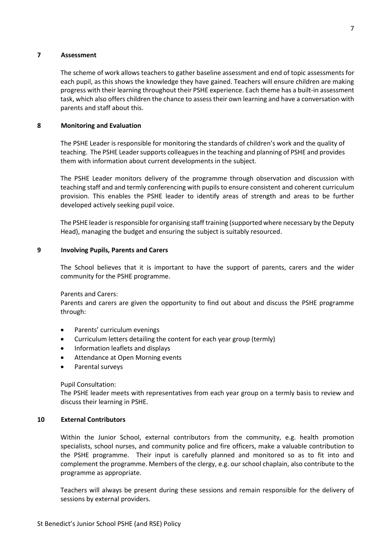# <span id="page-6-0"></span>**7 Assessment**

The scheme of work allows teachers to gather baseline assessment and end of topic assessments for each pupil, as this shows the knowledge they have gained. Teachers will ensure children are making progress with their learning throughout their PSHE experience. Each theme has a built-in assessment task, which also offers children the chance to assess their own learning and have a conversation with parents and staff about this.

# <span id="page-6-1"></span>**8 Monitoring and Evaluation**

The PSHE Leader is responsible for monitoring the standards of children's work and the quality of teaching. The PSHE Leader supports colleagues in the teaching and planning of PSHE and provides them with information about current developments in the subject.

The PSHE Leader monitors delivery of the programme through observation and discussion with teaching staff and and termly conferencing with pupils to ensure consistent and coherent curriculum provision. This enables the PSHE leader to identify areas of strength and areas to be further developed actively seeking pupil voice.

The PSHE leader is responsible for organising staff training (supported where necessary by the Deputy Head), managing the budget and ensuring the subject is suitably resourced.

## <span id="page-6-2"></span>**9 Involving Pupils, Parents and Carers**

The School believes that it is important to have the support of parents, carers and the wider community for the PSHE programme.

Parents and Carers:

Parents and carers are given the opportunity to find out about and discuss the PSHE programme through:

- Parents' curriculum evenings
- Curriculum letters detailing the content for each year group (termly)
- Information leaflets and displays
- Attendance at Open Morning events
- Parental surveys

# Pupil Consultation:

The PSHE leader meets with representatives from each year group on a termly basis to review and discuss their learning in PSHE.

# <span id="page-6-3"></span>**10 External Contributors**

Within the Junior School, external contributors from the community, e.g. health promotion specialists, school nurses, and community police and fire officers, make a valuable contribution to the PSHE programme. Their input is carefully planned and monitored so as to fit into and complement the programme. Members of the clergy, e.g. our school chaplain, also contribute to the programme as appropriate.

Teachers will always be present during these sessions and remain responsible for the delivery of sessions by external providers.